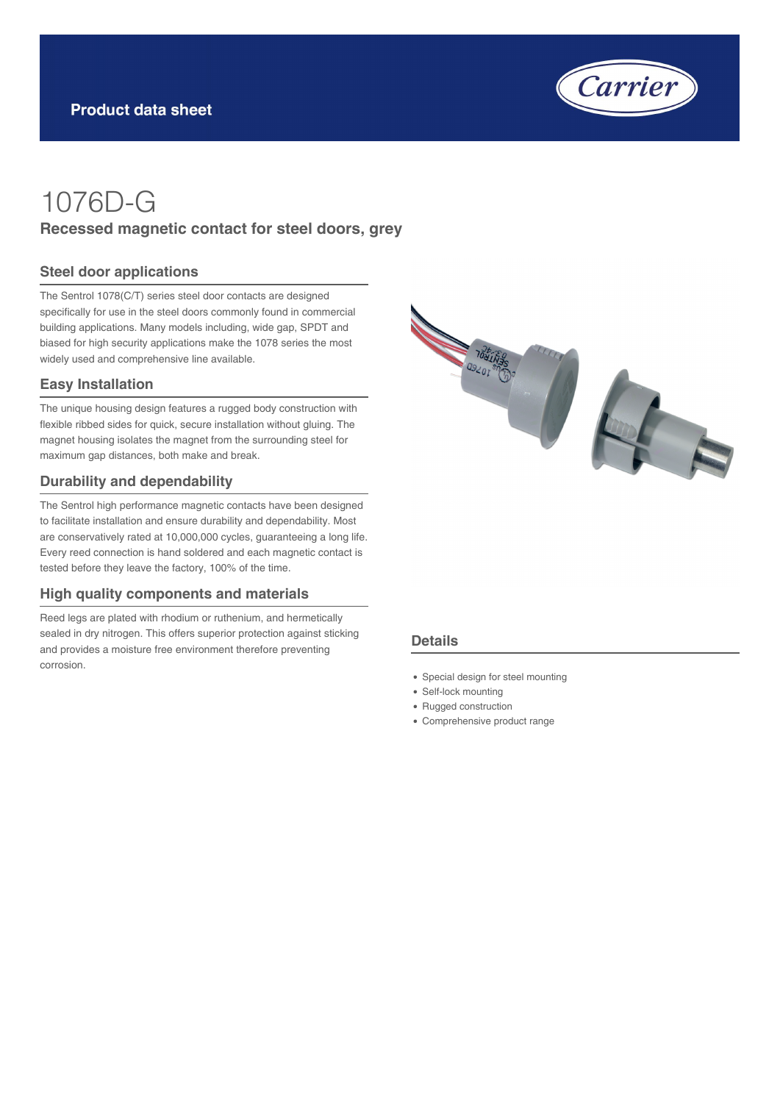

# 1076D-G **Recessed magnetic contact for steel doors, grey**

#### **Steel door applications**

The Sentrol 1078(C/T) series steel door contacts are designed specifically for use in the steel doors commonly found in commercial building applications. Many models including, wide gap, SPDT and biased for high security applications make the 1078 series the most widely used and comprehensive line available.

#### **Easy Installation**

The unique housing design features a rugged body construction with flexible ribbed sides for quick, secure installation without gluing. The magnet housing isolates the magnet from the surrounding steel for maximum gap distances, both make and break.

#### **Durability and dependability**

The Sentrol high performance magnetic contacts have been designed to facilitate installation and ensure durability and dependability. Most are conservatively rated at 10,000,000 cycles, guaranteeing a long life. Every reed connection is hand soldered and each magnetic contact is tested before they leave the factory, 100% of the time.

#### **High quality components and materials**

Reed legs are plated with rhodium or ruthenium, and hermetically sealed in dry nitrogen. This offers superior protection against sticking and provides a moisture free environment therefore preventing corrosion.



#### **Details**

- Special design for steel mounting
- Self-lock mounting
- Rugged construction
- Comprehensive product range